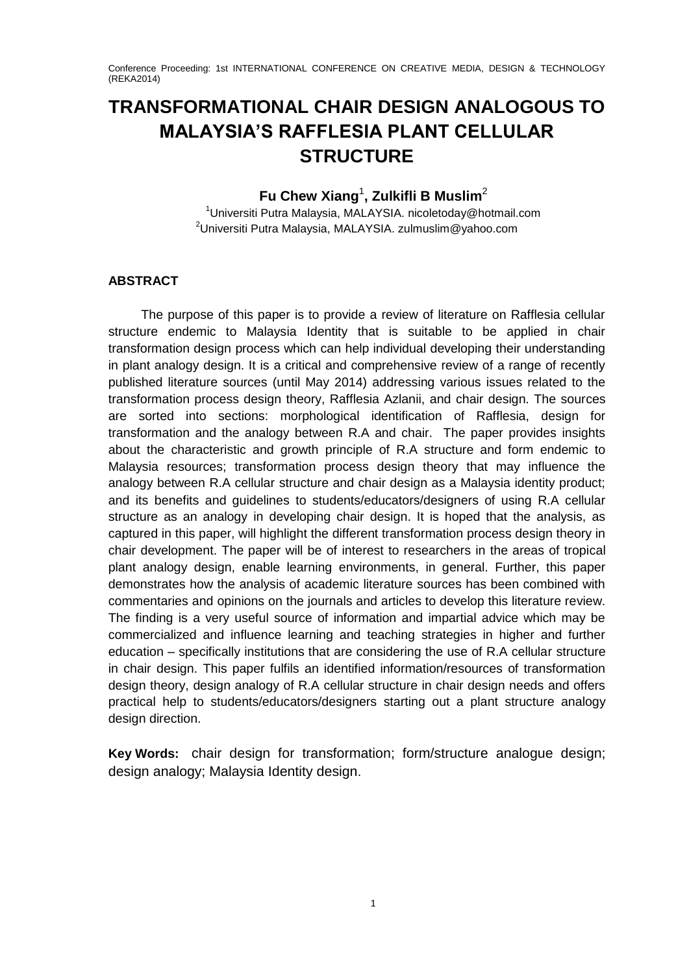# **TRANSFORMATIONAL CHAIR DESIGN ANALOGOUS TO MALAYSIA'S RAFFLESIA PLANT CELLULAR STRUCTURE**

# Fu Chew Xiang<sup>1</sup>, Zulkifli B Muslim<sup>2</sup>

<sup>1</sup>Universiti Putra Malaysia, MALAYSIA. nicoletoday@hotmail.com <sup>2</sup>Universiti Putra Malaysia, MALAYSIA. zulmuslim@yahoo.com

### **ABSTRACT**

The purpose of this paper is to provide a review of literature on Rafflesia cellular structure endemic to Malaysia Identity that is suitable to be applied in chair transformation design process which can help individual developing their understanding in plant analogy design. It is a critical and comprehensive review of a range of recently published literature sources (until May 2014) addressing various issues related to the transformation process design theory, Rafflesia Azlanii, and chair design. The sources are sorted into sections: morphological identification of Rafflesia, design for transformation and the analogy between R.A and chair. The paper provides insights about the characteristic and growth principle of R.A structure and form endemic to Malaysia resources; transformation process design theory that may influence the analogy between R.A cellular structure and chair design as a Malaysia identity product; and its benefits and guidelines to students/educators/designers of using R.A cellular structure as an analogy in developing chair design. It is hoped that the analysis, as captured in this paper, will highlight the different transformation process design theory in chair development. The paper will be of interest to researchers in the areas of tropical plant analogy design, enable learning environments, in general. Further, this paper demonstrates how the analysis of academic literature sources has been combined with commentaries and opinions on the journals and articles to develop this literature review. The finding is a very useful source of information and impartial advice which may be commercialized and influence learning and teaching strategies in higher and further education – specifically institutions that are considering the use of R.A cellular structure in chair design. This paper fulfils an identified information/resources of transformation design theory, design analogy of R.A cellular structure in chair design needs and offers practical help to students/educators/designers starting out a plant structure analogy design direction.

**Key Words:** chair design for transformation; form/structure analogue design; design analogy; Malaysia Identity design.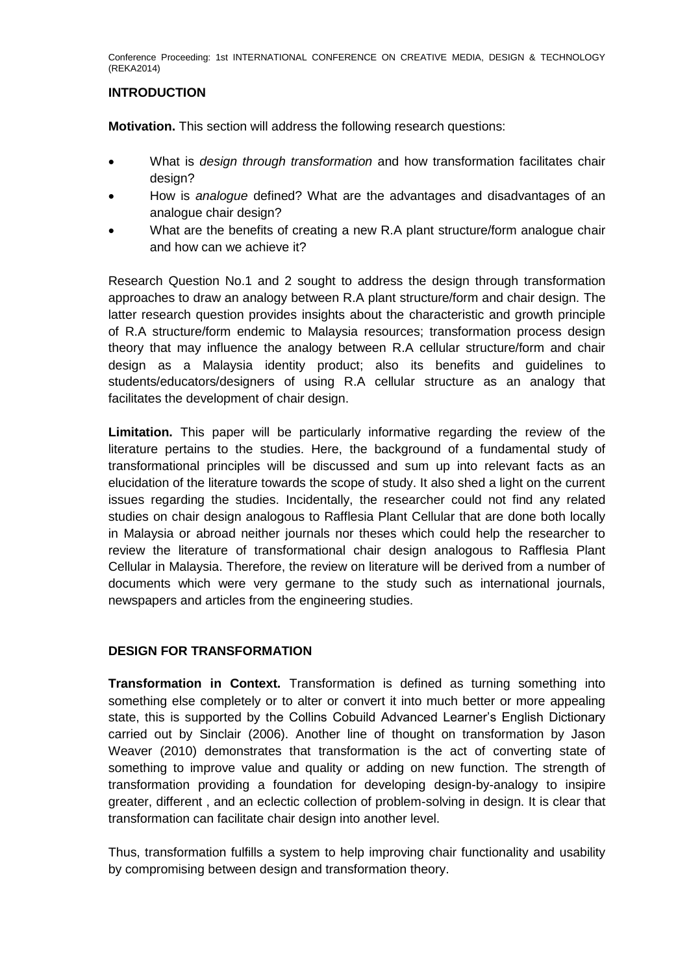# **INTRODUCTION**

**Motivation.** This section will address the following research questions:

- What is *design through transformation* and how transformation facilitates chair design?
- How is *analogue* defined? What are the advantages and disadvantages of an analogue chair design?
- What are the benefits of creating a new R.A plant structure/form analogue chair and how can we achieve it?

Research Question No.1 and 2 sought to address the design through transformation approaches to draw an analogy between R.A plant structure/form and chair design. The latter research question provides insights about the characteristic and growth principle of R.A structure/form endemic to Malaysia resources; transformation process design theory that may influence the analogy between R.A cellular structure/form and chair design as a Malaysia identity product; also its benefits and guidelines to students/educators/designers of using R.A cellular structure as an analogy that facilitates the development of chair design.

**Limitation.** This paper will be particularly informative regarding the review of the literature pertains to the studies. Here, the background of a fundamental study of transformational principles will be discussed and sum up into relevant facts as an elucidation of the literature towards the scope of study. It also shed a light on the current issues regarding the studies. Incidentally, the researcher could not find any related studies on chair design analogous to Rafflesia Plant Cellular that are done both locally in Malaysia or abroad neither journals nor theses which could help the researcher to review the literature of transformational chair design analogous to Rafflesia Plant Cellular in Malaysia. Therefore, the review on literature will be derived from a number of documents which were very germane to the study such as international journals, newspapers and articles from the engineering studies.

### **DESIGN FOR TRANSFORMATION**

**Transformation in Context.** Transformation is defined as turning something into something else completely or to alter or convert it into much better or more appealing state, this is supported by the Collins Cobuild Advanced Learner's English Dictionary carried out by Sinclair (2006). Another line of thought on transformation by Jason Weaver (2010) demonstrates that transformation is the act of converting state of something to improve value and quality or adding on new function. The strength of transformation providing a foundation for developing design-by-analogy to insipire greater, different , and an eclectic collection of problem-solving in design. It is clear that transformation can facilitate chair design into another level.

Thus, transformation fulfills a system to help improving chair functionality and usability by compromising between design and transformation theory.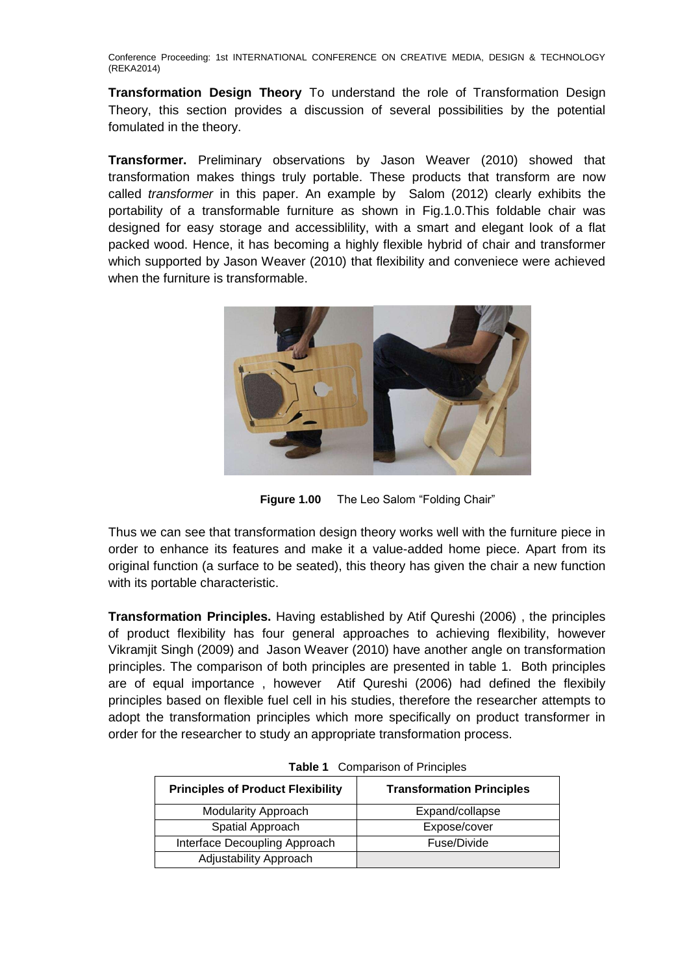**Transformation Design Theory** To understand the role of Transformation Design Theory, this section provides a discussion of several possibilities by the potential fomulated in the theory.

**Transformer.** Preliminary observations by Jason Weaver (2010) showed that transformation makes things truly portable. These products that transform are now called *transformer* in this paper. An example by Salom (2012) clearly exhibits the portability of a transformable furniture as shown in Fig.1.0.This foldable chair was designed for easy storage and accessiblility, with a smart and elegant look of a flat packed wood. Hence, it has becoming a highly flexible hybrid of chair and transformer which supported by Jason Weaver (2010) that flexibility and conveniece were achieved when the furniture is transformable.



**Figure 1.00** The Leo Salom "Folding Chair"

Thus we can see that transformation design theory works well with the furniture piece in order to enhance its features and make it a value-added home piece. Apart from its original function (a surface to be seated), this theory has given the chair a new function with its portable characteristic.

**Transformation Principles.** Having established by Atif Qureshi (2006) , the principles of product flexibility has four general approaches to achieving flexibility, however Vikramjit Singh (2009) and Jason Weaver (2010) have another angle on transformation principles. The comparison of both principles are presented in table 1. Both principles are of equal importance , however Atif Qureshi (2006) had defined the flexibily principles based on flexible fuel cell in his studies, therefore the researcher attempts to adopt the transformation principles which more specifically on product transformer in order for the researcher to study an appropriate transformation process.

| <b>Table T</b> Companson of Principles   |                                  |  |
|------------------------------------------|----------------------------------|--|
| <b>Principles of Product Flexibility</b> | <b>Transformation Principles</b> |  |
| <b>Modularity Approach</b>               | Expand/collapse                  |  |
| Spatial Approach                         | Expose/cover                     |  |
| Interface Decoupling Approach            | Fuse/Divide                      |  |
| Adjustability Approach                   |                                  |  |

**Table 1** Comparison of Principles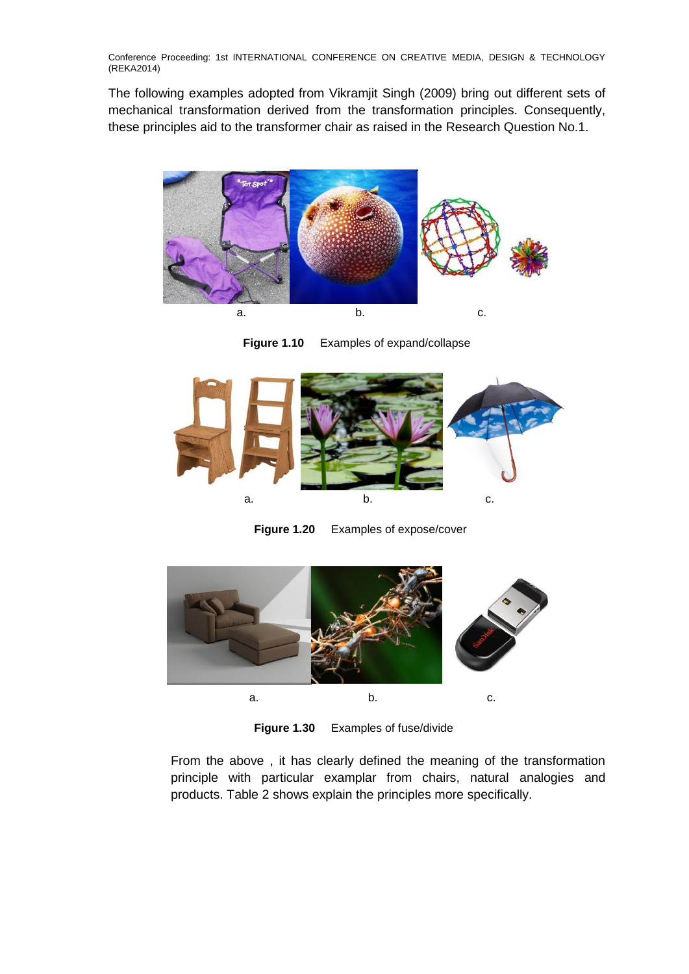The following examples adopted from Vikramjit Singh (2009) bring out different sets of mechanical transformation derived from the transformation principles. Consequently, these principles aid to the transformer chair as raised in the Research Question No.1.



**Figure 1.10** Examples of expand/collapse



**Figure 1.20** Examples of expose/cover



**Figure 1.30** Examples of fuse/divide

From the above , it has clearly defined the meaning of the transformation principle with particular examplar from chairs, natural analogies and products. Table 2 shows explain the principles more specifically.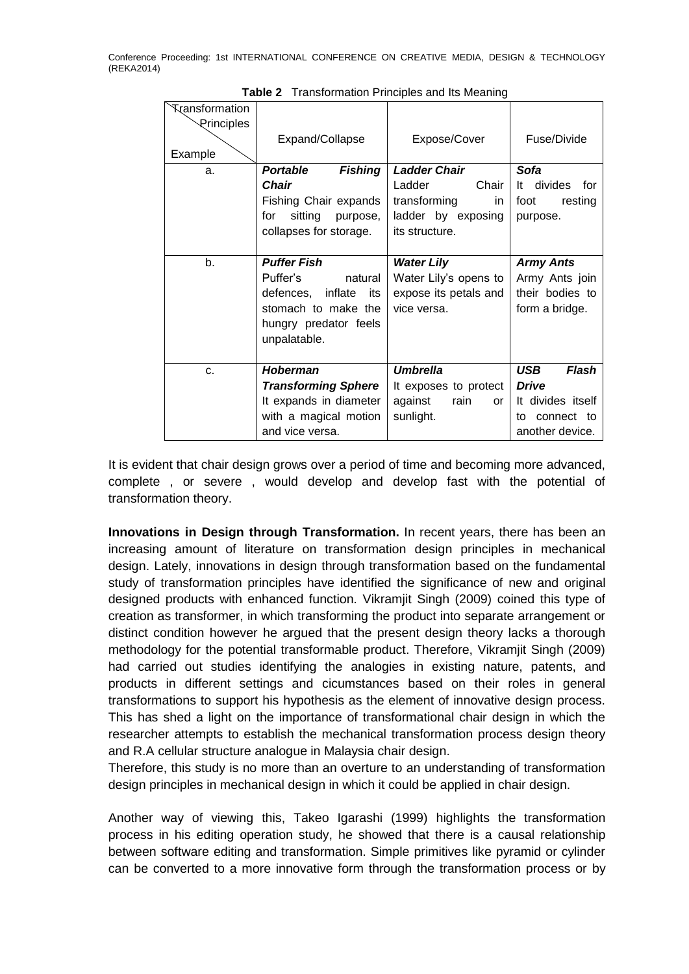| Transformation    |                                   |                       |                     |
|-------------------|-----------------------------------|-----------------------|---------------------|
| <b>Principles</b> |                                   |                       |                     |
|                   | Expand/Collapse                   | Expose/Cover          | Fuse/Divide         |
| Example           |                                   |                       |                     |
| a.                | <b>Portable</b><br><b>Fishing</b> | <b>Ladder Chair</b>   | <b>Sofa</b>         |
|                   | Chair                             | Ladder<br>Chair       | It divides<br>for   |
|                   | <b>Fishing Chair expands</b>      | transforming<br>in.   | resting<br>foot     |
|                   | for<br>sitting purpose,           | ladder by exposing    | purpose.            |
|                   | collapses for storage.            | its structure.        |                     |
|                   |                                   |                       |                     |
| b.                | <b>Puffer Fish</b>                | <b>Water Lily</b>     | <b>Army Ants</b>    |
|                   | Puffer's<br>natural               | Water Lily's opens to | Army Ants join      |
|                   | inflate<br>defences.<br>its       | expose its petals and | their bodies to     |
|                   | stomach to make the               | vice versa.           | form a bridge.      |
|                   | hungry predator feels             |                       |                     |
|                   | unpalatable.                      |                       |                     |
|                   |                                   |                       |                     |
| C.                | <b>Hoberman</b>                   | <b>Umbrella</b>       | <b>USB</b><br>Flash |
|                   | <b>Transforming Sphere</b>        | It exposes to protect | <b>Drive</b>        |
|                   | It expands in diameter            | against<br>rain<br>or | It divides itself   |
|                   | with a magical motion             | sunlight.             | connect to<br>to    |
|                   | and vice versa.                   |                       | another device.     |

**Table 2** Transformation Principles and Its Meaning

It is evident that chair design grows over a period of time and becoming more advanced, complete , or severe , would develop and develop fast with the potential of transformation theory.

**Innovations in Design through Transformation.** In recent years, there has been an increasing amount of literature on transformation design principles in mechanical design. Lately, innovations in design through transformation based on the fundamental study of transformation principles have identified the significance of new and original designed products with enhanced function. Vikramjit Singh (2009) coined this type of creation as transformer, in which transforming the product into separate arrangement or distinct condition however he argued that the present design theory lacks a thorough methodology for the potential transformable product. Therefore, Vikramjit Singh (2009) had carried out studies identifying the analogies in existing nature, patents, and products in different settings and cicumstances based on their roles in general transformations to support his hypothesis as the element of innovative design process. This has shed a light on the importance of transformational chair design in which the researcher attempts to establish the mechanical transformation process design theory and R.A cellular structure analogue in Malaysia chair design.

Therefore, this study is no more than an overture to an understanding of transformation design principles in mechanical design in which it could be applied in chair design.

Another way of viewing this, Takeo Igarashi (1999) highlights the transformation process in his editing operation study, he showed that there is a causal relationship between software editing and transformation. Simple primitives like pyramid or cylinder can be converted to a more innovative form through the transformation process or by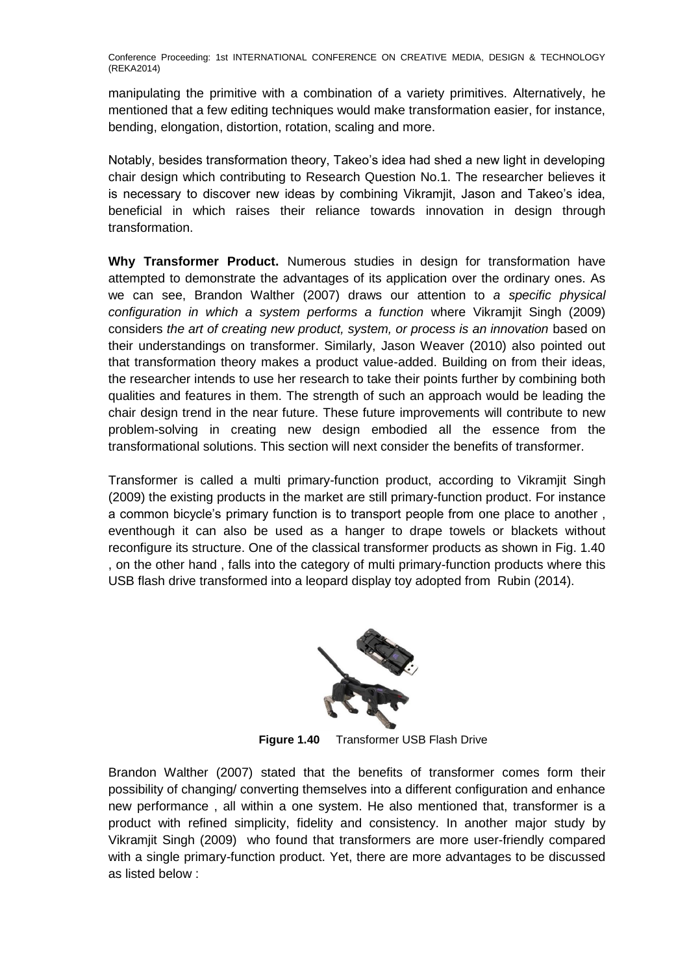manipulating the primitive with a combination of a variety primitives. Alternatively, he mentioned that a few editing techniques would make transformation easier, for instance, bending, elongation, distortion, rotation, scaling and more.

Notably, besides transformation theory, Takeo's idea had shed a new light in developing chair design which contributing to Research Question No.1. The researcher believes it is necessary to discover new ideas by combining Vikramjit, Jason and Takeo's idea, beneficial in which raises their reliance towards innovation in design through transformation.

**Why Transformer Product.** Numerous studies in design for transformation have attempted to demonstrate the advantages of its application over the ordinary ones. As we can see, Brandon Walther (2007) draws our attention to *a specific physical configuration in which a system performs a function* where Vikramjit Singh (2009) considers *the art of creating new product, system, or process is an innovation* based on their understandings on transformer. Similarly, Jason Weaver (2010) also pointed out that transformation theory makes a product value-added. Building on from their ideas, the researcher intends to use her research to take their points further by combining both qualities and features in them. The strength of such an approach would be leading the chair design trend in the near future. These future improvements will contribute to new problem-solving in creating new design embodied all the essence from the transformational solutions. This section will next consider the benefits of transformer.

Transformer is called a multi primary-function product, according to Vikramjit Singh (2009) the existing products in the market are still primary-function product. For instance a common bicycle's primary function is to transport people from one place to another , eventhough it can also be used as a hanger to drape towels or blackets without reconfigure its structure. One of the classical transformer products as shown in Fig. 1.40 , on the other hand , falls into the category of multi primary-function products where this USB flash drive transformed into a leopard display toy adopted from Rubin (2014).



**Figure 1.40** Transformer USB Flash Drive

Brandon Walther (2007) stated that the benefits of transformer comes form their possibility of changing/ converting themselves into a different configuration and enhance new performance , all within a one system. He also mentioned that, transformer is a product with refined simplicity, fidelity and consistency. In another major study by Vikramjit Singh (2009) who found that transformers are more user-friendly compared with a single primary-function product. Yet, there are more advantages to be discussed as listed below :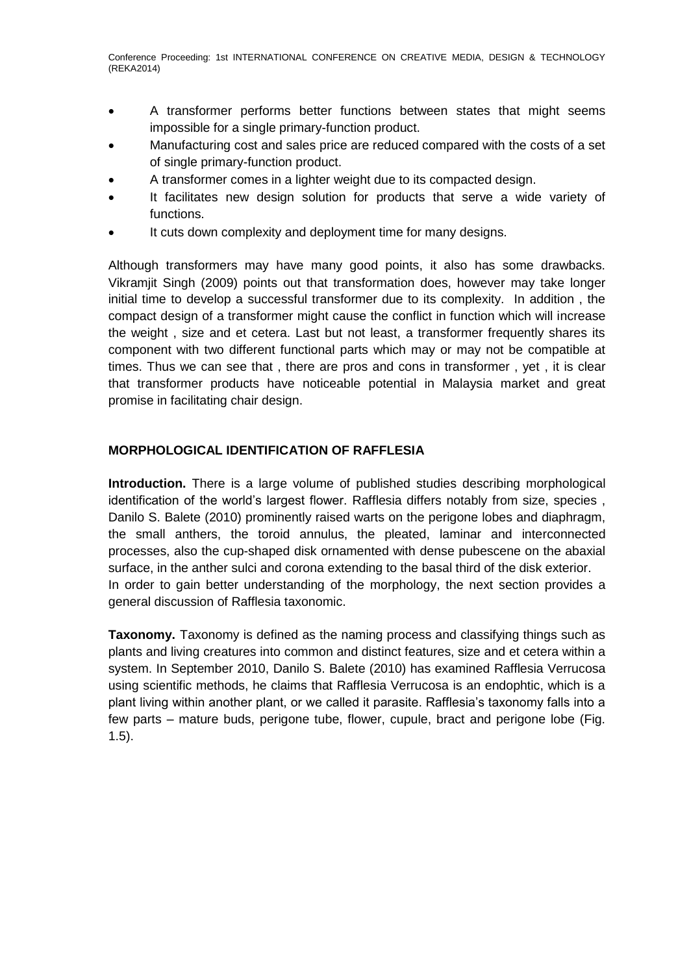- A transformer performs better functions between states that might seems impossible for a single primary-function product.
- Manufacturing cost and sales price are reduced compared with the costs of a set of single primary-function product.
- A transformer comes in a lighter weight due to its compacted design.
- It facilitates new design solution for products that serve a wide variety of functions.
- It cuts down complexity and deployment time for many designs.

Although transformers may have many good points, it also has some drawbacks. Vikramjit Singh (2009) points out that transformation does, however may take longer initial time to develop a successful transformer due to its complexity. In addition , the compact design of a transformer might cause the conflict in function which will increase the weight , size and et cetera. Last but not least, a transformer frequently shares its component with two different functional parts which may or may not be compatible at times. Thus we can see that , there are pros and cons in transformer , yet , it is clear that transformer products have noticeable potential in Malaysia market and great promise in facilitating chair design.

## **MORPHOLOGICAL IDENTIFICATION OF RAFFLESIA**

**Introduction.** There is a large volume of published studies describing morphological identification of the world's largest flower. Rafflesia differs notably from size, species , Danilo S. Balete (2010) prominently raised warts on the perigone lobes and diaphragm, the small anthers, the toroid annulus, the pleated, laminar and interconnected processes, also the cup-shaped disk ornamented with dense pubescene on the abaxial surface, in the anther sulci and corona extending to the basal third of the disk exterior. In order to gain better understanding of the morphology, the next section provides a general discussion of Rafflesia taxonomic.

**Taxonomy.** Taxonomy is defined as the naming process and classifying things such as plants and living creatures into common and distinct features, size and et cetera within a system. In September 2010, Danilo S. Balete (2010) has examined Rafflesia Verrucosa using scientific methods, he claims that Rafflesia Verrucosa is an endophtic, which is a plant living within another plant, or we called it parasite. Rafflesia's taxonomy falls into a few parts – mature buds, perigone tube, flower, cupule, bract and perigone lobe (Fig. 1.5).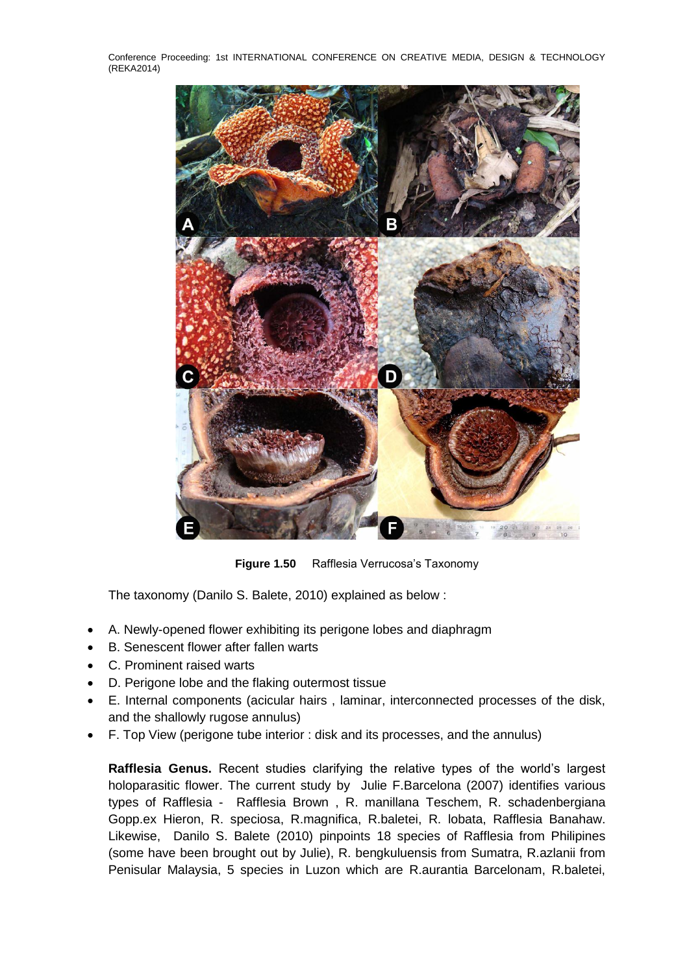

**Figure 1.50** Rafflesia Verrucosa's Taxonomy

The taxonomy (Danilo S. Balete, 2010) explained as below :

- A. Newly-opened flower exhibiting its perigone lobes and diaphragm
- B. Senescent flower after fallen warts
- C. Prominent raised warts
- D. Perigone lobe and the flaking outermost tissue
- E. Internal components (acicular hairs , laminar, interconnected processes of the disk, and the shallowly rugose annulus)
- F. Top View (perigone tube interior : disk and its processes, and the annulus)

**Rafflesia Genus.** Recent studies clarifying the relative types of the world's largest holoparasitic flower. The current study by Julie F.Barcelona (2007) identifies various types of Rafflesia - Rafflesia Brown , R. manillana Teschem, R. schadenbergiana Gopp.ex Hieron, R. speciosa, R.magnifica, R.baletei, R. lobata, Rafflesia Banahaw. Likewise, Danilo S. Balete (2010) pinpoints 18 species of Rafflesia from Philipines (some have been brought out by Julie), R. bengkuluensis from Sumatra, R.azlanii from Penisular Malaysia, 5 species in Luzon which are R.aurantia Barcelonam, R.baletei,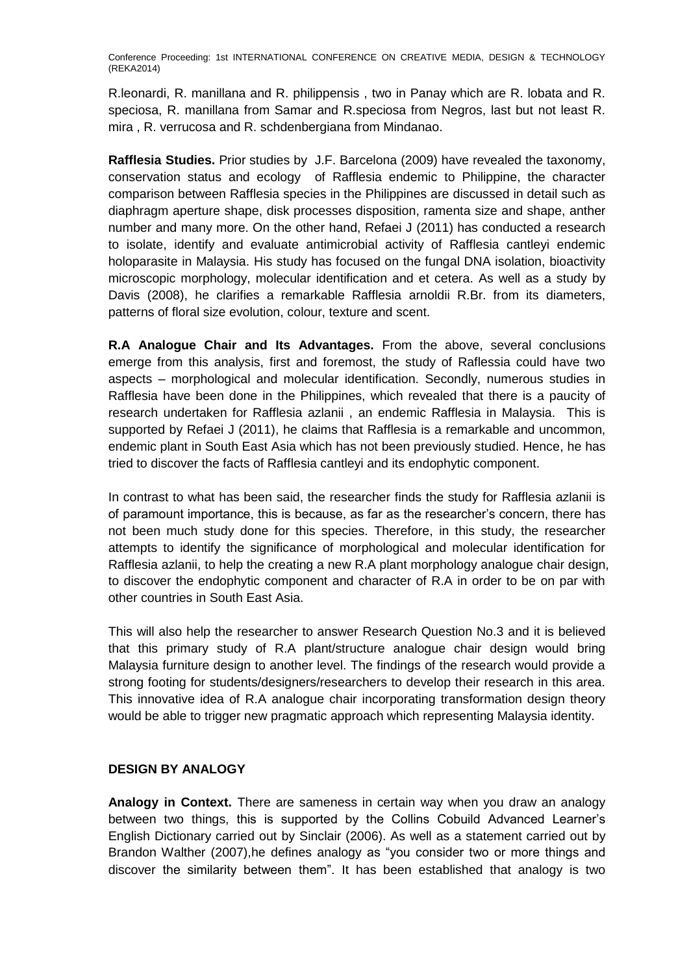R.leonardi, R. manillana and R. philippensis , two in Panay which are R. lobata and R. speciosa, R. manillana from Samar and R.speciosa from Negros, last but not least R. mira , R. verrucosa and R. schdenbergiana from Mindanao.

**Rafflesia Studies.** Prior studies by J.F. Barcelona (2009) have revealed the taxonomy, conservation status and ecology of Rafflesia endemic to Philippine, the character comparison between Rafflesia species in the Philippines are discussed in detail such as diaphragm aperture shape, disk processes disposition, ramenta size and shape, anther number and many more. On the other hand, Refaei J (2011) has conducted a research to isolate, identify and evaluate antimicrobial activity of Rafflesia cantleyi endemic holoparasite in Malaysia. His study has focused on the fungal DNA isolation, bioactivity microscopic morphology, molecular identification and et cetera. As well as a study by Davis (2008), he clarifies a remarkable Rafflesia arnoldii R.Br. from its diameters, patterns of floral size evolution, colour, texture and scent.

**R.A Analogue Chair and Its Advantages.** From the above, several conclusions emerge from this analysis, first and foremost, the study of Raflessia could have two aspects – morphological and molecular identification. Secondly, numerous studies in Rafflesia have been done in the Philippines, which revealed that there is a paucity of research undertaken for Rafflesia azlanii , an endemic Rafflesia in Malaysia. This is supported by Refaei J (2011), he claims that Rafflesia is a remarkable and uncommon, endemic plant in South East Asia which has not been previously studied. Hence, he has tried to discover the facts of Rafflesia cantleyi and its endophytic component.

In contrast to what has been said, the researcher finds the study for Rafflesia azlanii is of paramount importance, this is because, as far as the researcher's concern, there has not been much study done for this species. Therefore, in this study, the researcher attempts to identify the significance of morphological and molecular identification for Rafflesia azlanii, to help the creating a new R.A plant morphology analogue chair design, to discover the endophytic component and character of R.A in order to be on par with other countries in South East Asia.

This will also help the researcher to answer Research Question No.3 and it is believed that this primary study of R.A plant/structure analogue chair design would bring Malaysia furniture design to another level. The findings of the research would provide a strong footing for students/designers/researchers to develop their research in this area. This innovative idea of R.A analogue chair incorporating transformation design theory would be able to trigger new pragmatic approach which representing Malaysia identity.

#### **DESIGN BY ANALOGY**

**Analogy in Context.** There are sameness in certain way when you draw an analogy between two things, this is supported by the Collins Cobuild Advanced Learner's English Dictionary carried out by Sinclair (2006). As well as a statement carried out by Brandon Walther (2007),he defines analogy as "you consider two or more things and discover the similarity between them". It has been established that analogy is two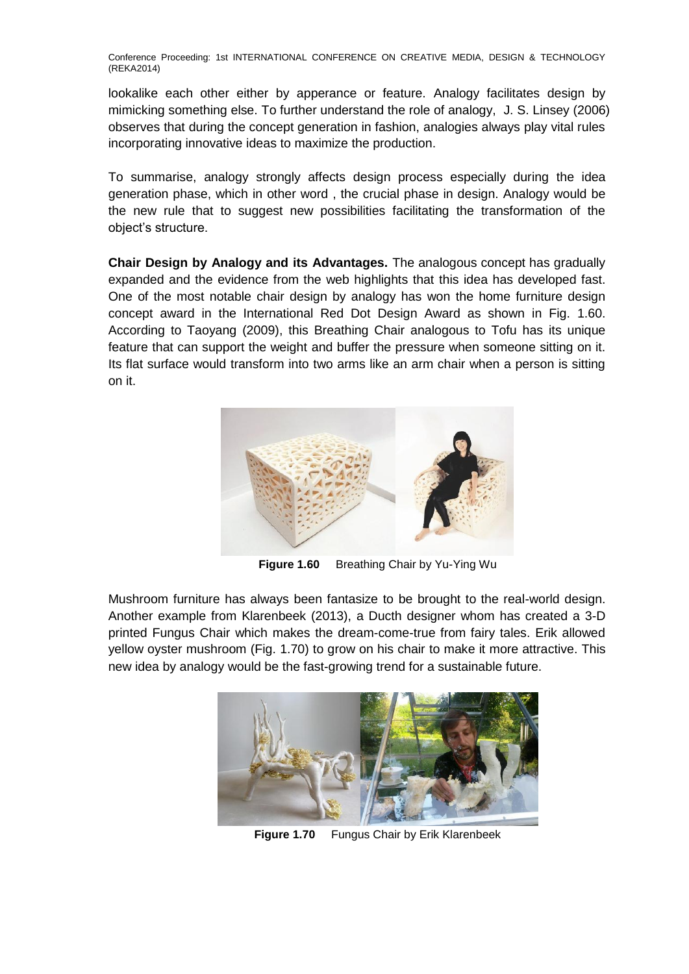lookalike each other either by apperance or feature. Analogy facilitates design by mimicking something else. To further understand the role of analogy, J. S. Linsey (2006) observes that during the concept generation in fashion, analogies always play vital rules incorporating innovative ideas to maximize the production.

To summarise, analogy strongly affects design process especially during the idea generation phase, which in other word , the crucial phase in design. Analogy would be the new rule that to suggest new possibilities facilitating the transformation of the object's structure.

**Chair Design by Analogy and its Advantages.** The analogous concept has gradually expanded and the evidence from the web highlights that this idea has developed fast. One of the most notable chair design by analogy has won the home furniture design concept award in the International Red Dot Design Award as shown in Fig. 1.60. According to Taoyang (2009), this Breathing Chair analogous to Tofu has its unique feature that can support the weight and buffer the pressure when someone sitting on it. Its flat surface would transform into two arms like an arm chair when a person is sitting on it.



**Figure 1.60** Breathing Chair by Yu-Ying Wu

Mushroom furniture has always been fantasize to be brought to the real-world design. Another example from Klarenbeek (2013), a Ducth designer whom has created a 3-D printed Fungus Chair which makes the dream-come-true from fairy tales. Erik allowed yellow oyster mushroom (Fig. 1.70) to grow on his chair to make it more attractive. This new idea by analogy would be the fast-growing trend for a sustainable future.



**Figure 1.70** Fungus Chair by Erik Klarenbeek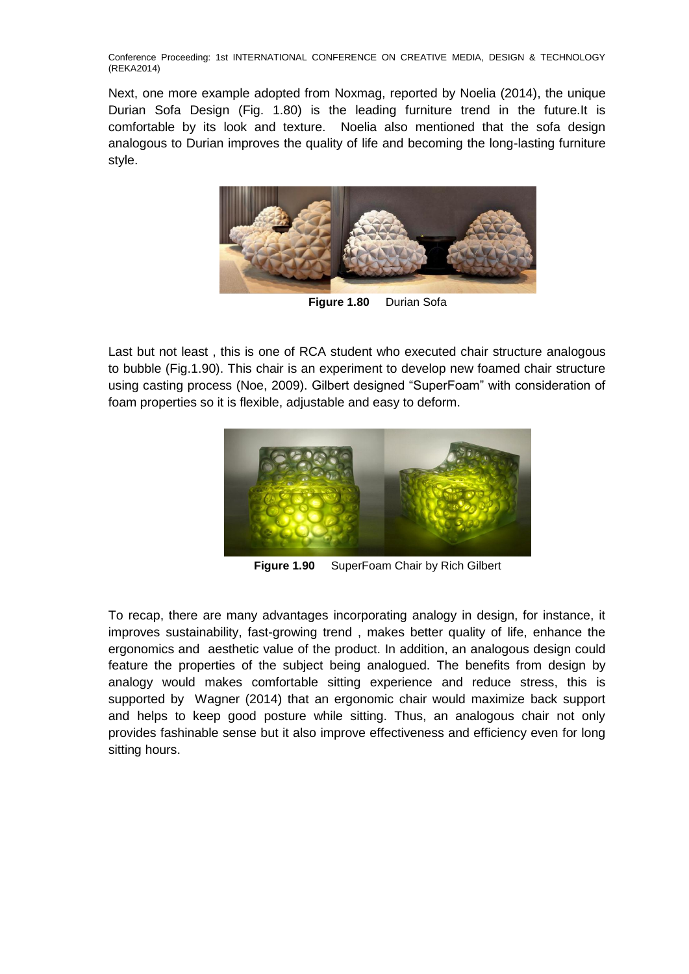Next, one more example adopted from Noxmag, reported by Noelia (2014), the unique Durian Sofa Design (Fig. 1.80) is the leading furniture trend in the future.It is comfortable by its look and texture. Noelia also mentioned that the sofa design analogous to Durian improves the quality of life and becoming the long-lasting furniture style.



**Figure 1.80** Durian Sofa

Last but not least , this is one of RCA student who executed chair structure analogous to bubble (Fig.1.90). This chair is an experiment to develop new foamed chair structure using casting process (Noe, 2009). Gilbert designed "SuperFoam" with consideration of foam properties so it is flexible, adjustable and easy to deform.



**Figure 1.90** SuperFoam Chair by Rich Gilbert

To recap, there are many advantages incorporating analogy in design, for instance, it improves sustainability, fast-growing trend , makes better quality of life, enhance the ergonomics and aesthetic value of the product. In addition, an analogous design could feature the properties of the subject being analogued. The benefits from design by analogy would makes comfortable sitting experience and reduce stress, this is supported by Wagner (2014) that an ergonomic chair would maximize back support and helps to keep good posture while sitting. Thus, an analogous chair not only provides fashinable sense but it also improve effectiveness and efficiency even for long sitting hours.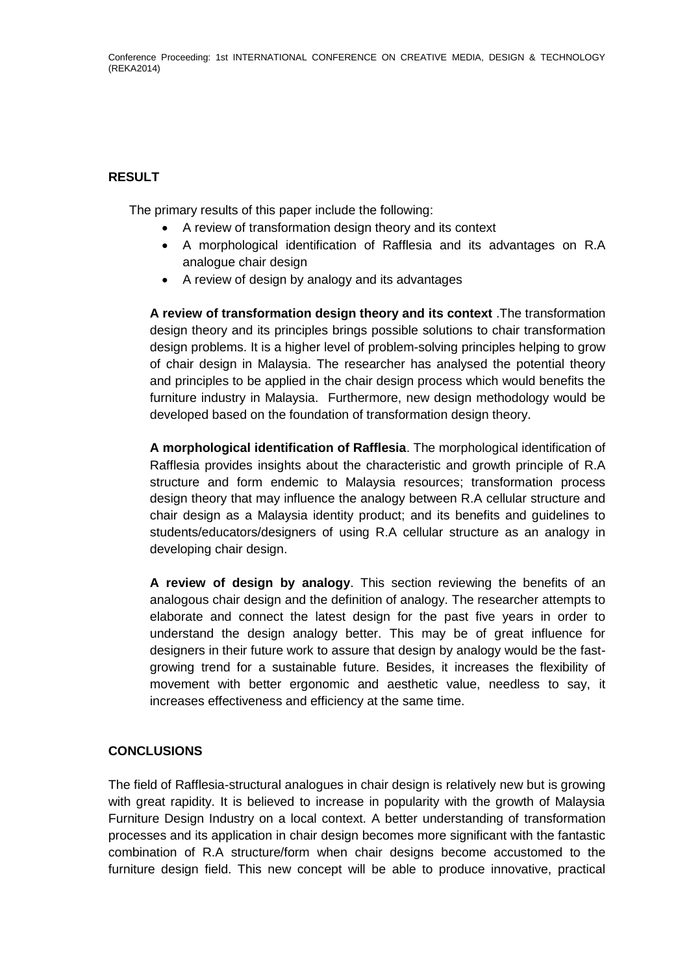# **RESULT**

The primary results of this paper include the following:

- A review of transformation design theory and its context
- A morphological identification of Rafflesia and its advantages on R.A analogue chair design
- A review of design by analogy and its advantages

**A review of transformation design theory and its context** .The transformation design theory and its principles brings possible solutions to chair transformation design problems. It is a higher level of problem-solving principles helping to grow of chair design in Malaysia. The researcher has analysed the potential theory and principles to be applied in the chair design process which would benefits the furniture industry in Malaysia. Furthermore, new design methodology would be developed based on the foundation of transformation design theory.

**A morphological identification of Rafflesia**. The morphological identification of Rafflesia provides insights about the characteristic and growth principle of R.A structure and form endemic to Malaysia resources; transformation process design theory that may influence the analogy between R.A cellular structure and chair design as a Malaysia identity product; and its benefits and guidelines to students/educators/designers of using R.A cellular structure as an analogy in developing chair design.

**A review of design by analogy**. This section reviewing the benefits of an analogous chair design and the definition of analogy. The researcher attempts to elaborate and connect the latest design for the past five years in order to understand the design analogy better. This may be of great influence for designers in their future work to assure that design by analogy would be the fastgrowing trend for a sustainable future. Besides, it increases the flexibility of movement with better ergonomic and aesthetic value, needless to say, it increases effectiveness and efficiency at the same time.

## **CONCLUSIONS**

The field of Rafflesia-structural analogues in chair design is relatively new but is growing with great rapidity. It is believed to increase in popularity with the growth of Malaysia Furniture Design Industry on a local context. A better understanding of transformation processes and its application in chair design becomes more significant with the fantastic combination of R.A structure/form when chair designs become accustomed to the furniture design field. This new concept will be able to produce innovative, practical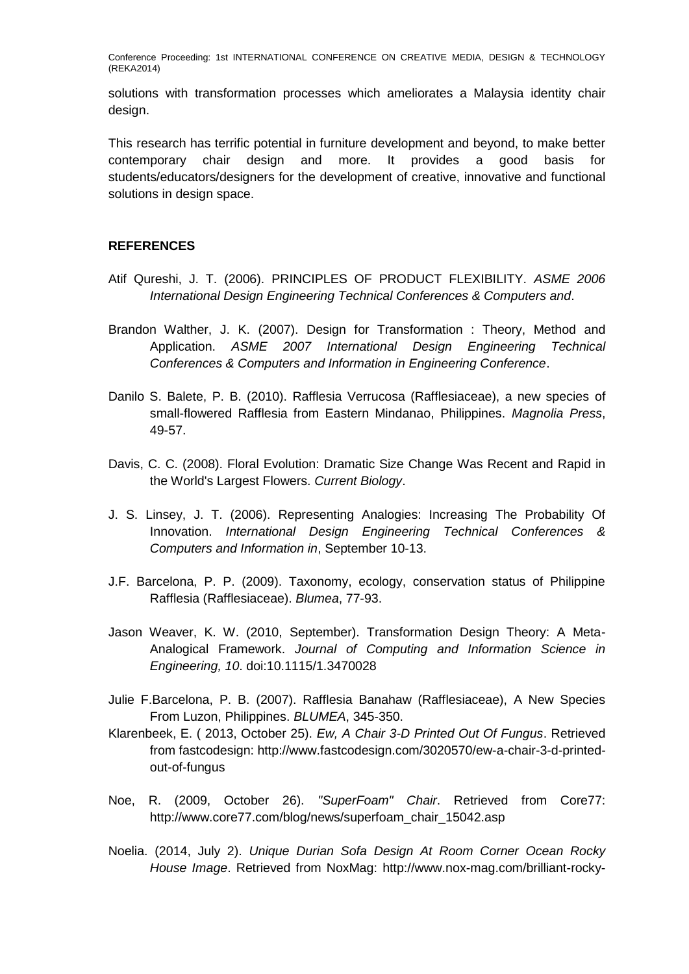solutions with transformation processes which ameliorates a Malaysia identity chair design.

This research has terrific potential in furniture development and beyond, to make better contemporary chair design and more. It provides a good basis for students/educators/designers for the development of creative, innovative and functional solutions in design space.

#### **REFERENCES**

- Atif Qureshi, J. T. (2006). PRINCIPLES OF PRODUCT FLEXIBILITY. *ASME 2006 International Design Engineering Technical Conferences & Computers and*.
- Brandon Walther, J. K. (2007). Design for Transformation : Theory, Method and Application. *ASME 2007 International Design Engineering Technical Conferences & Computers and Information in Engineering Conference*.
- Danilo S. Balete, P. B. (2010). Rafflesia Verrucosa (Rafflesiaceae), a new species of small-flowered Rafflesia from Eastern Mindanao, Philippines. *Magnolia Press*, 49-57.
- Davis, C. C. (2008). Floral Evolution: Dramatic Size Change Was Recent and Rapid in the World's Largest Flowers. *Current Biology*.
- J. S. Linsey, J. T. (2006). Representing Analogies: Increasing The Probability Of Innovation. *International Design Engineering Technical Conferences & Computers and Information in*, September 10-13.
- J.F. Barcelona, P. P. (2009). Taxonomy, ecology, conservation status of Philippine Rafflesia (Rafflesiaceae). *Blumea*, 77-93.
- Jason Weaver, K. W. (2010, September). Transformation Design Theory: A Meta-Analogical Framework. *Journal of Computing and Information Science in Engineering, 10*. doi:10.1115/1.3470028
- Julie F.Barcelona, P. B. (2007). Rafflesia Banahaw (Rafflesiaceae), A New Species From Luzon, Philippines. *BLUMEA*, 345-350.
- Klarenbeek, E. ( 2013, October 25). *Ew, A Chair 3-D Printed Out Of Fungus*. Retrieved from fastcodesign: http://www.fastcodesign.com/3020570/ew-a-chair-3-d-printedout-of-fungus
- Noe, R. (2009, October 26). *"SuperFoam" Chair*. Retrieved from Core77: http://www.core77.com/blog/news/superfoam\_chair\_15042.asp
- Noelia. (2014, July 2). *Unique Durian Sofa Design At Room Corner Ocean Rocky House Image*. Retrieved from NoxMag: http://www.nox-mag.com/brilliant-rocky-